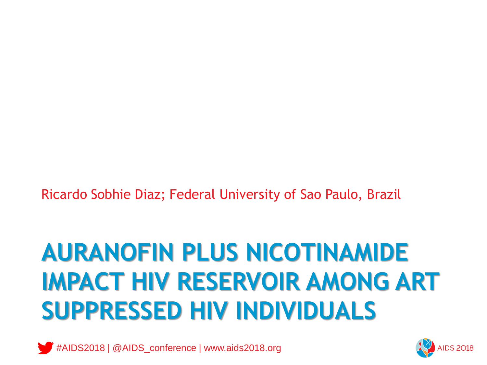Ricardo Sobhie Diaz; Federal University of Sao Paulo, Brazil

# **AURANOFIN PLUS NICOTINAMIDE IMPACT HIV RESERVOIR AMONG ART SUPPRESSED HIV INDIVIDUALS**



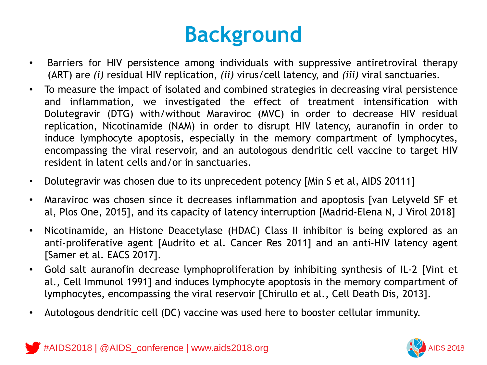### **Background**

- Barriers for HIV persistence among individuals with suppressive antiretroviral therapy (ART) are *(i)* residual HIV replication, *(ii)* virus/cell latency, and *(iii)* viral sanctuaries.
- To measure the impact of isolated and combined strategies in decreasing viral persistence and inflammation, we investigated the effect of treatment intensification with Dolutegravir (DTG) with/without Maraviroc (MVC) in order to decrease HIV residual replication, Nicotinamide (NAM) in order to disrupt HIV latency, auranofin in order to induce lymphocyte apoptosis, especially in the memory compartment of lymphocytes, encompassing the viral reservoir, and an autologous dendritic cell vaccine to target HIV resident in latent cells and/or in sanctuaries.
- Dolutegravir was chosen due to its unprecedent potency [Min S et al, AIDS 20111]
- Maraviroc was chosen since it decreases inflammation and apoptosis [van Lelyveld SF et al, Plos One, 2015], and its capacity of latency interruption [Madrid-Elena N, J Virol 2018]
- Nicotinamide, an Histone Deacetylase (HDAC) Class II inhibitor is being explored as an anti-proliferative agent [Audrito et al. Cancer Res 2011] and an anti-HIV latency agent [Samer et al. EACS 2017].
- Gold salt auranofin decrease lymphoproliferation by inhibiting synthesis of IL-2 [Vint et al., Cell Immunol 1991] and induces lymphocyte apoptosis in the memory compartment of lymphocytes, encompassing the viral reservoir [Chirullo et al., Cell Death Dis, 2013].
- Autologous dendritic cell (DC) vaccine was used here to booster cellular immunity.



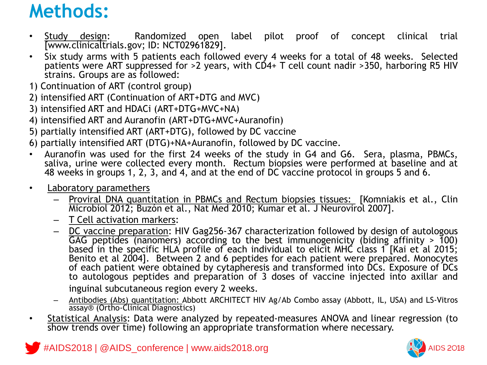#### **Methods:**

- Study design: Randomized open label pilot proof of concept clinical trial [www.clinicaltrials.gov; ID: NCT02961829].
- Six study arms with 5 patients each followed every 4 weeks for a total of 48 weeks. Selected patients were ART suppressed for >2 years, with CD4+ T cell count nadir >350, harboring R5 HIV strains. Groups are as followed:
- 1) Continuation of ART (control group)
- 2) intensified ART (Continuation of ART+DTG and MVC)
- 3) intensified ART and HDACi (ART+DTG+MVC+NA)
- 4) intensified ART and Auranofin (ART+DTG+MVC+Auranofin)
- 5) partially intensified ART (ART+DTG), followed by DC vaccine
- 6) partially intensified ART (DTG)+NA+Auranofin, followed by DC vaccine.
- Auranofin was used for the first 24 weeks of the study in G4 and G6. Sera, plasma, PBMCs, saliva, urine were collected every month. Rectum biopsies were performed at baseline and at 48 weeks in groups 1, 2, 3, and 4, and at the end of DC vaccine protocol in groups 5 and 6.
- Laboratory paramethers
	- Proviral DNA quantitation in PBMCs and Rectum biopsies tissues: [Komniakis et al., Clin Microbiol 2012; Buzón et al., Nat Med 2010; Kumar et al. J Neurovirol 2007].
	- T Cell activation markers:
	- DC vaccine preparation: HIV Gag256-367 characterization followed by design of autologous GAG peptides (nanomers) according to the best immunogenicity (biding affinity  $> 100$ ) based in the specific HLA profile of each individual to elicit MHC class 1 [Kai et al 2015; Benito et al 2004]. Between 2 and 6 peptides for each patient were prepared. Monocytes of each patient were obtained by cytapheresis and transformed into DCs. Exposure of DCs to autologous peptides and preparation of 3 doses of vaccine injected into axillar and inguinal subcutaneous region every 2 weeks.
	- Antibodies (Abs) quantitation: Abbott ARCHITECT HIV Ag/Ab Combo assay (Abbott, IL, USA) and LS-Vitros assay® (Ortho-Clinical Diagnostics)
- Statistical Analysis: Data were analyzed by repeated-measures ANOVA and linear regression (to show trends over time) following an appropriate transformation where necessary.

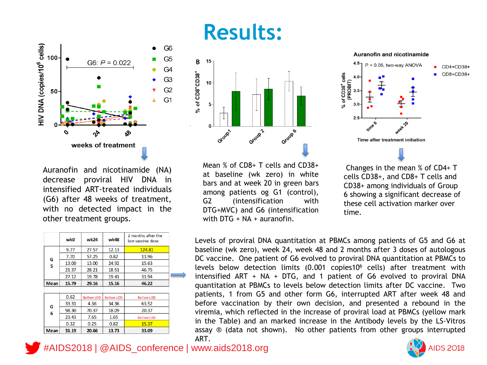### **Results:**

G<sub>6</sub>

G<sub>5</sub>

G<sub>4</sub>

G<sub>3</sub>

 $G2$ 

G<sub>1</sub>



Mean % of CD8+ T cells and CD38+ at baseline (wk zero) in white bars and at week 20 in green bars among patients og G1 (control), G2 (intensification with DTG+MVC) and G6 (intensification with DTG + NA + auranofin.



**Auranofin and nicotinamide** 

cells CD38+, and CD8+ T cells and CD38+ among individuals of Group 6 showing a significant decrease of these cell activation marker over time.

Levels of proviral DNA quantitation at PBMCs among patients of G5 and G6 at baseline (wk zero), week 24, week 48 and 2 months after 3 doses of autologous DC vaccine. One patient of G6 evolved to proviral DNA quantitation at PBMCs to levels below detection limits  $(0.001 \text{ copies10}^6 \text{ cells})$  after treatment with intensified ART + NA + DTG, and 1 patient of G6 evolved to proviral DNA quantitation at PBMCs to levels below detection limits after DC vaccine. Two patients, 1 from G5 and other form G6, interrupted ART after week 48 and before vaccination by their own decision, and presented a rebound in the viremia, which reflected in the increase of proviral load at PBMCs (yellow mark in the Table) and an marked increase in the Antibody levels by the LS-Vitros assay ® (data not shown). No other patients from other groups interrupted ART.

**AIDS 2018** 

Auranofin and nicotinamide (NA) decrease proviral HIV DNA in intensified ART-treated individuals (G6) after 48 weeks of treatment, with no detected impact in the other treatment groups.

weeks of treatment

G6:  $P = 0.022$ 

|             | wk0   | wk24              | wk48              | 2 months after the<br>last vaccine dose |
|-------------|-------|-------------------|-------------------|-----------------------------------------|
| G<br>5      | 9.77  | 27.57             | 12.13             | 124.81                                  |
|             | 7.70  | 57.25             | 0.82              | 11.96                                   |
|             | 13.00 | 13.00             | 24.92             | 15.63                                   |
|             | 21.37 | 28.21             | 18.51             | 46.75                                   |
|             | 27.12 | 19.78             | 19.41             | 31.94                                   |
| <b>Mean</b> | 15.79 | 29.16             | 15.16             | 46.22                                   |
|             |       |                   |                   |                                         |
| G<br>6      | 0.62  | <b>Bellow LOD</b> | <b>Bellow LOD</b> | <b>Bellow LOD</b>                       |
|             | 33.31 | 4.36              | 34.36             | 63.52                                   |
|             | 98.30 | 70.37             | 18.09             | 20.37                                   |
|             | 23.43 | 7.65              | 1.65              | <b>Bellow LOD</b>                       |
|             | 0.32  | 0.25              | 0.82              | 15.37                                   |
| <b>Mean</b> | 31.19 | 20.66             | 13.73             | 33.09                                   |

#AIDS2018 | @AIDS\_conference | www.aids2018.org

HIV DNA (copies/10<sup>6</sup> cells)

00

50

 $\mathcal{O}$ 

ঔ